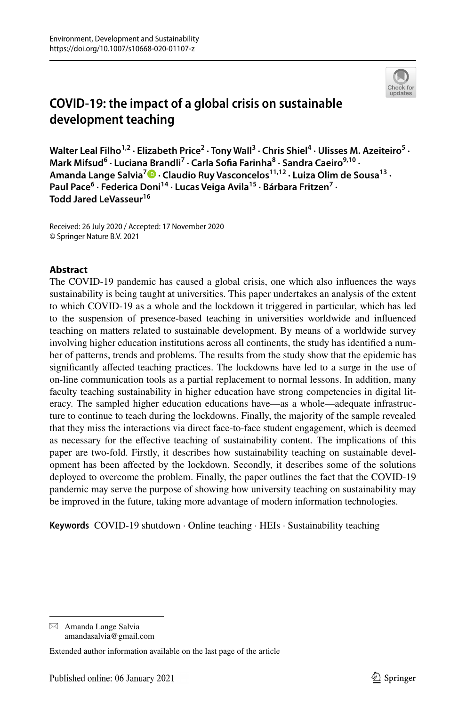

# **COVID‑19: the impact of a global crisis on sustainable development teaching**

Walter Leal Filho<sup>1,2</sup> · Elizabeth Price<sup>2</sup> · Tony Wall<sup>3</sup> · Chris Shiel<sup>4</sup> · Ulisses M. Azeiteiro<sup>5</sup> · **Mark Mifsud<sup>6</sup> · Luciana Brandli7 · Carla Sofa Farinha8 · Sandra Caeiro9,10 · Amanda Lange Salvia<sup>7</sup> · Claudio Ruy Vasconcelos11,12 · Luiza Olim de Sousa13 ·**  Paul Pace<sup>6</sup> · Federica Doni<sup>14</sup> · Lucas Veiga Avila<sup>15</sup> · Bárbara Fritzen<sup>7</sup> · **Todd Jared LeVasseur<sup>16</sup>**

Received: 26 July 2020 / Accepted: 17 November 2020 © Springer Nature B.V. 2021

## **Abstract**

The COVID-19 pandemic has caused a global crisis, one which also infuences the ways sustainability is being taught at universities. This paper undertakes an analysis of the extent to which COVID-19 as a whole and the lockdown it triggered in particular, which has led to the suspension of presence-based teaching in universities worldwide and infuenced teaching on matters related to sustainable development. By means of a worldwide survey involving higher education institutions across all continents, the study has identifed a number of patterns, trends and problems. The results from the study show that the epidemic has signifcantly afected teaching practices. The lockdowns have led to a surge in the use of on-line communication tools as a partial replacement to normal lessons. In addition, many faculty teaching sustainability in higher education have strong competencies in digital literacy. The sampled higher education educations have—as a whole—adequate infrastructure to continue to teach during the lockdowns. Finally, the majority of the sample revealed that they miss the interactions via direct face-to-face student engagement, which is deemed as necessary for the efective teaching of sustainability content. The implications of this paper are two-fold. Firstly, it describes how sustainability teaching on sustainable development has been afected by the lockdown. Secondly, it describes some of the solutions deployed to overcome the problem. Finally, the paper outlines the fact that the COVID-19 pandemic may serve the purpose of showing how university teaching on sustainability may be improved in the future, taking more advantage of modern information technologies.

**Keywords** COVID-19 shutdown · Online teaching · HEIs · Sustainability teaching

 $\boxtimes$  Amanda Lange Salvia amandasalvia@gmail.com

Extended author information available on the last page of the article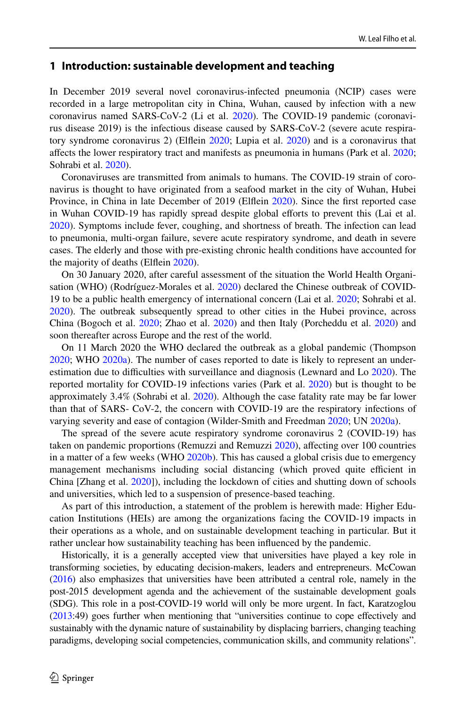# **1 Introduction: sustainable development and teaching**

In December 2019 several novel coronavirus-infected pneumonia (NCIP) cases were recorded in a large metropolitan city in China, Wuhan, caused by infection with a new coronavirus named SARS-CoV-2 (Li et al. [2020](#page-18-0)). The COVID-19 pandemic (coronavirus disease 2019) is the infectious disease caused by SARS-CoV-2 (severe acute respiratory syndrome coronavirus 2) (Elfein [2020](#page-17-0); Lupia et al. [2020](#page-18-1)) and is a coronavirus that afects the lower respiratory tract and manifests as pneumonia in humans (Park et al. [2020;](#page-18-2) Sohrabi et al. [2020](#page-19-0)).

Coronaviruses are transmitted from animals to humans. The COVID-19 strain of coronavirus is thought to have originated from a seafood market in the city of Wuhan, Hubei Province, in China in late December of 2019 (Elflein [2020\)](#page-17-0). Since the first reported case in Wuhan COVID-19 has rapidly spread despite global efforts to prevent this (Lai et al. [2020\)](#page-18-3). Symptoms include fever, coughing, and shortness of breath. The infection can lead to pneumonia, multi-organ failure, severe acute respiratory syndrome, and death in severe cases. The elderly and those with pre-existing chronic health conditions have accounted for the majority of deaths (Elflein [2020](#page-17-0)).

On 30 January 2020, after careful assessment of the situation the World Health Organisation (WHO) (Rodríguez-Morales et al. [2020](#page-19-1)) declared the Chinese outbreak of COVID-19 to be a public health emergency of international concern (Lai et al. [2020;](#page-18-3) Sohrabi et al. [2020\)](#page-19-0). The outbreak subsequently spread to other cities in the Hubei province, across China (Bogoch et al. [2020](#page-17-1); Zhao et al. [2020](#page-20-0)) and then Italy (Porcheddu et al. [2020](#page-19-2)) and soon thereafter across Europe and the rest of the world.

On 11 March 2020 the WHO declared the outbreak as a global pandemic (Thompson [2020;](#page-19-3) WHO [2020a\)](#page-19-4). The number of cases reported to date is likely to represent an under-estimation due to difficulties with surveillance and diagnosis (Lewnard and Lo [2020\)](#page-18-4). The reported mortality for COVID-19 infections varies (Park et al. [2020](#page-18-2)) but is thought to be approximately 3.4% (Sohrabi et al. [2020](#page-19-0)). Although the case fatality rate may be far lower than that of SARS- CoV-2, the concern with COVID-19 are the respiratory infections of varying severity and ease of contagion (Wilder-Smith and Freedman [2020](#page-19-5); UN [2020a\)](#page-19-6).

The spread of the severe acute respiratory syndrome coronavirus 2 (COVID-19) has taken on pandemic proportions (Remuzzi and Remuzzi [2020](#page-19-7)), affecting over 100 countries in a matter of a few weeks (WHO [2020b](#page-19-8)). This has caused a global crisis due to emergency management mechanisms including social distancing (which proved quite efficient in China [Zhang et al. [2020\]](#page-20-1)), including the lockdown of cities and shutting down of schools and universities, which led to a suspension of presence-based teaching.

As part of this introduction, a statement of the problem is herewith made: Higher Education Institutions (HEIs) are among the organizations facing the COVID-19 impacts in their operations as a whole, and on sustainable development teaching in particular. But it rather unclear how sustainability teaching has been infuenced by the pandemic.

Historically, it is a generally accepted view that universities have played a key role in transforming societies, by educating decision-makers, leaders and entrepreneurs. McCowan ([2016](#page-18-5)) also emphasizes that universities have been attributed a central role, namely in the post-2015 development agenda and the achievement of the sustainable development goals (SDG). This role in a post-COVID-19 world will only be more urgent. In fact, Karatzoglou ([2013](#page-18-6):49) goes further when mentioning that "universities continue to cope efectively and sustainably with the dynamic nature of sustainability by displacing barriers, changing teaching paradigms, developing social competencies, communication skills, and community relations".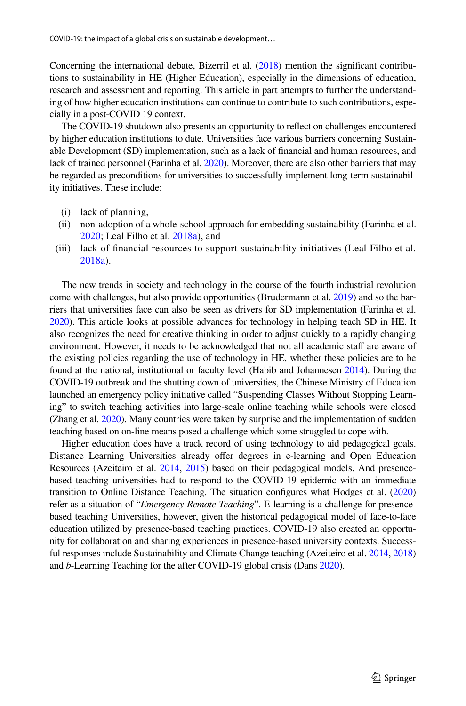Concerning the international debate, Bizerril et al. [\(2018\)](#page-17-2) mention the signifcant contributions to sustainability in HE (Higher Education), especially in the dimensions of education, research and assessment and reporting. This article in part attempts to further the understanding of how higher education institutions can continue to contribute to such contributions, especially in a post-COVID 19 context.

The COVID-19 shutdown also presents an opportunity to refect on challenges encountered by higher education institutions to date. Universities face various barriers concerning Sustainable Development (SD) implementation, such as a lack of fnancial and human resources, and lack of trained personnel (Farinha et al. [2020\)](#page-17-3). Moreover, there are also other barriers that may be regarded as preconditions for universities to successfully implement long-term sustainability initiatives. These include:

- (i) lack of planning,
- (ii) non-adoption of a whole-school approach for embedding sustainability (Farinha et al. [2020;](#page-17-3) Leal Filho et al. [2018a](#page-18-7)), and
- (iii) lack of fnancial resources to support sustainability initiatives (Leal Filho et al. [2018a](#page-18-7)).

The new trends in society and technology in the course of the fourth industrial revolution come with challenges, but also provide opportunities (Brudermann et al. [2019](#page-17-4)) and so the barriers that universities face can also be seen as drivers for SD implementation (Farinha et al. [2020](#page-17-3)). This article looks at possible advances for technology in helping teach SD in HE. It also recognizes the need for creative thinking in order to adjust quickly to a rapidly changing environment. However, it needs to be acknowledged that not all academic staff are aware of the existing policies regarding the use of technology in HE, whether these policies are to be found at the national, institutional or faculty level (Habib and Johannesen [2014\)](#page-17-5). During the COVID-19 outbreak and the shutting down of universities, the Chinese Ministry of Education launched an emergency policy initiative called "Suspending Classes Without Stopping Learning" to switch teaching activities into large-scale online teaching while schools were closed (Zhang et al. [2020](#page-20-1)). Many countries were taken by surprise and the implementation of sudden teaching based on on-line means posed a challenge which some struggled to cope with.

Higher education does have a track record of using technology to aid pedagogical goals. Distance Learning Universities already ofer degrees in e-learning and Open Education Resources (Azeiteiro et al. [2014](#page-16-0), [2015\)](#page-16-1) based on their pedagogical models. And presencebased teaching universities had to respond to the COVID-19 epidemic with an immediate transition to Online Distance Teaching. The situation confgures what Hodges et al. [\(2020](#page-17-6)) refer as a situation of "*Emergency Remote Teaching*". E-learning is a challenge for presencebased teaching Universities, however, given the historical pedagogical model of face-to-face education utilized by presence-based teaching practices. COVID-19 also created an opportunity for collaboration and sharing experiences in presence-based university contexts. Success-ful responses include Sustainability and Climate Change teaching (Azeiteiro et al. [2014,](#page-16-0) [2018](#page-16-2)) and *b*-Learning Teaching for the after COVID-19 global crisis (Dans [2020\)](#page-17-7).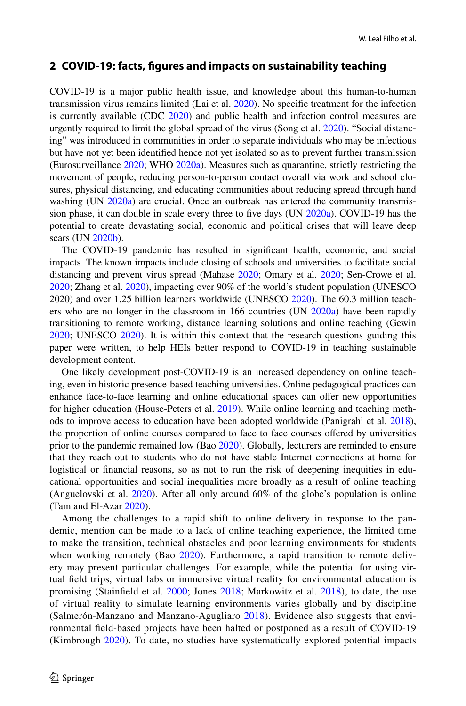#### **2 COVID‑19: facts, fgures and impacts on sustainability teaching**

COVID-19 is a major public health issue, and knowledge about this human-to-human transmission virus remains limited (Lai et al. [2020\)](#page-18-3). No specifc treatment for the infection is currently available (CDC [2020\)](#page-19-8) and public health and infection control measures are urgently required to limit the global spread of the virus (Song et al. [2020\)](#page-19-9). "Social distancing" was introduced in communities in order to separate individuals who may be infectious but have not yet been identifed hence not yet isolated so as to prevent further transmission (Eurosurveillance [2020;](#page-17-8) WHO [2020a](#page-19-4)). Measures such as quarantine, strictly restricting the movement of people, reducing person-to-person contact overall via work and school closures, physical distancing, and educating communities about reducing spread through hand washing (UN [2020a\)](#page-19-6) are crucial. Once an outbreak has entered the community transmission phase, it can double in scale every three to five days  $(UN 2020a)$  $(UN 2020a)$ . COVID-19 has the potential to create devastating social, economic and political crises that will leave deep scars (UN [2020b](#page-19-10)).

The COVID-19 pandemic has resulted in signifcant health, economic, and social impacts. The known impacts include closing of schools and universities to facilitate social distancing and prevent virus spread (Mahase [2020;](#page-18-8) Omary et al. [2020](#page-18-9); Sen-Crowe et al. [2020;](#page-19-11) Zhang et al. [2020](#page-20-1)), impacting over 90% of the world's student population (UNESCO 2020) and over 1.25 billion learners worldwide (UNESCO [2020\)](#page-19-12). The 60.3 million teachers who are no longer in the classroom in 166 countries (UN [2020a\)](#page-19-6) have been rapidly transitioning to remote working, distance learning solutions and online teaching (Gewin [2020;](#page-17-9) UNESCO [2020\)](#page-19-12). It is within this context that the research questions guiding this paper were written, to help HEIs better respond to COVID-19 in teaching sustainable development content.

One likely development post-COVID-19 is an increased dependency on online teaching, even in historic presence-based teaching universities. Online pedagogical practices can enhance face-to-face learning and online educational spaces can ofer new opportunities for higher education (House-Peters et al. [2019](#page-17-10)). While online learning and teaching methods to improve access to education have been adopted worldwide (Panigrahi et al. [2018](#page-18-10)), the proportion of online courses compared to face to face courses ofered by universities prior to the pandemic remained low (Bao [2020](#page-17-11)). Globally, lecturers are reminded to ensure that they reach out to students who do not have stable Internet connections at home for logistical or financial reasons, so as not to run the risk of deepening inequities in educational opportunities and social inequalities more broadly as a result of online teaching (Anguelovski et al. [2020](#page-16-3)). After all only around 60% of the globe's population is online (Tam and El-Azar [2020\)](#page-19-13).

Among the challenges to a rapid shift to online delivery in response to the pandemic, mention can be made to a lack of online teaching experience, the limited time to make the transition, technical obstacles and poor learning environments for students when working remotely (Bao [2020\)](#page-17-11). Furthermore, a rapid transition to remote delivery may present particular challenges. For example, while the potential for using virtual feld trips, virtual labs or immersive virtual reality for environmental education is promising (Stainfeld et al. [2000;](#page-19-14) Jones [2018](#page-17-12); Markowitz et al. [2018](#page-18-11)), to date, the use of virtual reality to simulate learning environments varies globally and by discipline (Salmerón-Manzano and Manzano-Agugliaro [2018\)](#page-19-15). Evidence also suggests that environmental feld-based projects have been halted or postponed as a result of COVID-19 (Kimbrough [2020\)](#page-18-12). To date, no studies have systematically explored potential impacts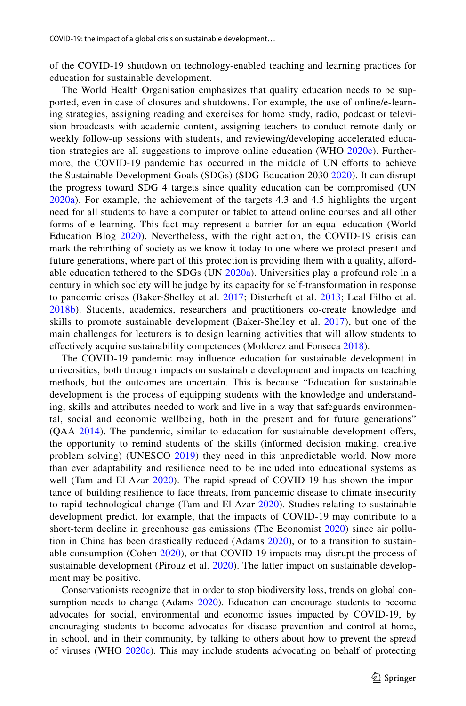of the COVID-19 shutdown on technology-enabled teaching and learning practices for education for sustainable development.

The World Health Organisation emphasizes that quality education needs to be supported, even in case of closures and shutdowns. For example, the use of online/e-learning strategies, assigning reading and exercises for home study, radio, podcast or television broadcasts with academic content, assigning teachers to conduct remote daily or weekly follow-up sessions with students, and reviewing/developing accelerated education strategies are all suggestions to improve online education (WHO [2020c\)](#page-19-16). Furthermore, the COVID-19 pandemic has occurred in the middle of UN eforts to achieve the Sustainable Development Goals (SDGs) (SDG-Education 2030 [2020\)](#page-19-17). It can disrupt the progress toward SDG 4 targets since quality education can be compromised (UN [2020a\)](#page-19-6). For example, the achievement of the targets 4.3 and 4.5 highlights the urgent need for all students to have a computer or tablet to attend online courses and all other forms of e learning. This fact may represent a barrier for an equal education (World Education Blog [2020](#page-20-2)). Nevertheless, with the right action, the COVID-19 crisis can mark the rebirthing of society as we know it today to one where we protect present and future generations, where part of this protection is providing them with a quality, aford-able education tethered to the SDGs (UN [2020a\)](#page-19-6). Universities play a profound role in a century in which society will be judge by its capacity for self-transformation in response to pandemic crises (Baker-Shelley et al. [2017](#page-17-13); Disterheft et al. [2013;](#page-17-14) Leal Filho et al. [2018b](#page-18-13)). Students, academics, researchers and practitioners co-create knowledge and skills to promote sustainable development (Baker-Shelley et al. [2017\)](#page-17-13), but one of the main challenges for lecturers is to design learning activities that will allow students to efectively acquire sustainability competences (Molderez and Fonseca [2018](#page-18-14)).

The COVID-19 pandemic may infuence education for sustainable development in universities, both through impacts on sustainable development and impacts on teaching methods, but the outcomes are uncertain. This is because "Education for sustainable development is the process of equipping students with the knowledge and understanding, skills and attributes needed to work and live in a way that safeguards environmental, social and economic wellbeing, both in the present and for future generations" (QAA [2014](#page-19-18)). The pandemic, similar to education for sustainable development offers, the opportunity to remind students of the skills (informed decision making, creative problem solving) (UNESCO [2019](#page-19-19)) they need in this unpredictable world. Now more than ever adaptability and resilience need to be included into educational systems as well (Tam and El-Azar [2020\)](#page-19-13). The rapid spread of COVID-19 has shown the importance of building resilience to face threats, from pandemic disease to climate insecurity to rapid technological change (Tam and El-Azar [2020](#page-19-13)). Studies relating to sustainable development predict, for example, that the impacts of COVID-19 may contribute to a short-term decline in greenhouse gas emissions (The Economist [2020\)](#page-17-15) since air pollution in China has been drastically reduced (Adams [2020](#page-16-4)), or to a transition to sustain-able consumption (Cohen [2020\)](#page-17-16), or that COVID-19 impacts may disrupt the process of sustainable development (Pirouz et al. [2020](#page-19-20)). The latter impact on sustainable development may be positive.

Conservationists recognize that in order to stop biodiversity loss, trends on global consumption needs to change (Adams [2020\)](#page-16-4). Education can encourage students to become advocates for social, environmental and economic issues impacted by COVID-19, by encouraging students to become advocates for disease prevention and control at home, in school, and in their community, by talking to others about how to prevent the spread of viruses (WHO [2020c\)](#page-19-16). This may include students advocating on behalf of protecting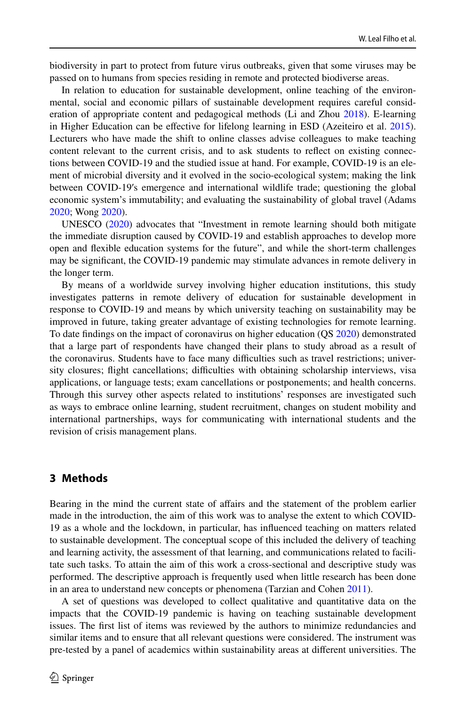biodiversity in part to protect from future virus outbreaks, given that some viruses may be passed on to humans from species residing in remote and protected biodiverse areas.

In relation to education for sustainable development, online teaching of the environmental, social and economic pillars of sustainable development requires careful consideration of appropriate content and pedagogical methods (Li and Zhou [2018](#page-18-15)). E-learning in Higher Education can be efective for lifelong learning in ESD (Azeiteiro et al. [2015](#page-16-1)). Lecturers who have made the shift to online classes advise colleagues to make teaching content relevant to the current crisis, and to ask students to refect on existing connections between COVID-19 and the studied issue at hand. For example, COVID-19 is an element of microbial diversity and it evolved in the socio-ecological system; making the link between COVID-19′s emergence and international wildlife trade; questioning the global economic system's immutability; and evaluating the sustainability of global travel (Adams [2020;](#page-16-4) Wong [2020\)](#page-20-3).

UNESCO ([2020\)](#page-19-12) advocates that "Investment in remote learning should both mitigate the immediate disruption caused by COVID-19 and establish approaches to develop more open and fexible education systems for the future", and while the short-term challenges may be signifcant, the COVID-19 pandemic may stimulate advances in remote delivery in the longer term.

By means of a worldwide survey involving higher education institutions, this study investigates patterns in remote delivery of education for sustainable development in response to COVID-19 and means by which university teaching on sustainability may be improved in future, taking greater advantage of existing technologies for remote learning. To date fndings on the impact of coronavirus on higher education (QS [2020](#page-19-21)) demonstrated that a large part of respondents have changed their plans to study abroad as a result of the coronavirus. Students have to face many difficulties such as travel restrictions; university closures; flight cancellations; difficulties with obtaining scholarship interviews, visa applications, or language tests; exam cancellations or postponements; and health concerns. Through this survey other aspects related to institutions' responses are investigated such as ways to embrace online learning, student recruitment, changes on student mobility and international partnerships, ways for communicating with international students and the revision of crisis management plans.

#### **3 Methods**

Bearing in the mind the current state of afairs and the statement of the problem earlier made in the introduction, the aim of this work was to analyse the extent to which COVID-19 as a whole and the lockdown, in particular, has infuenced teaching on matters related to sustainable development. The conceptual scope of this included the delivery of teaching and learning activity, the assessment of that learning, and communications related to facilitate such tasks. To attain the aim of this work a cross-sectional and descriptive study was performed. The descriptive approach is frequently used when little research has been done in an area to understand new concepts or phenomena (Tarzian and Cohen [2011](#page-17-17)).

A set of questions was developed to collect qualitative and quantitative data on the impacts that the COVID-19 pandemic is having on teaching sustainable development issues. The frst list of items was reviewed by the authors to minimize redundancies and similar items and to ensure that all relevant questions were considered. The instrument was pre-tested by a panel of academics within sustainability areas at diferent universities. The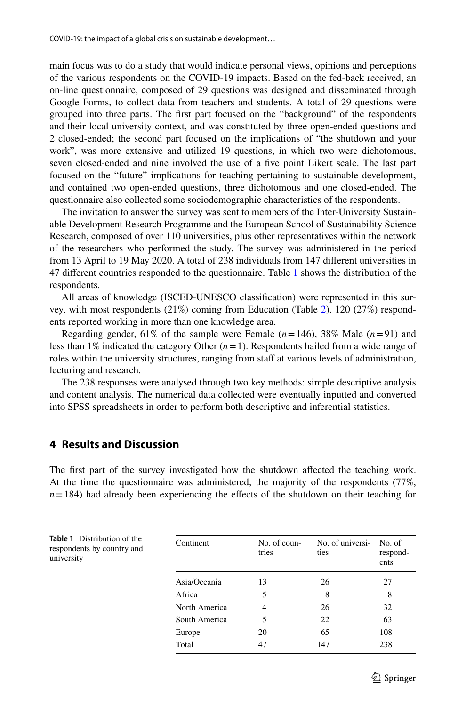main focus was to do a study that would indicate personal views, opinions and perceptions of the various respondents on the COVID-19 impacts. Based on the fed-back received, an on-line questionnaire, composed of 29 questions was designed and disseminated through Google Forms, to collect data from teachers and students. A total of 29 questions were grouped into three parts. The frst part focused on the "background" of the respondents and their local university context, and was constituted by three open-ended questions and 2 closed-ended; the second part focused on the implications of "the shutdown and your work", was more extensive and utilized 19 questions, in which two were dichotomous, seven closed-ended and nine involved the use of a fve point Likert scale. The last part focused on the "future" implications for teaching pertaining to sustainable development, and contained two open-ended questions, three dichotomous and one closed-ended. The questionnaire also collected some sociodemographic characteristics of the respondents.

The invitation to answer the survey was sent to members of the Inter-University Sustainable Development Research Programme and the European School of Sustainability Science Research, composed of over 110 universities, plus other representatives within the network of the researchers who performed the study. The survey was administered in the period from 13 April to 19 May 2020. A total of 238 individuals from 147 diferent universities in 47 diferent countries responded to the questionnaire. Table [1](#page-6-0) shows the distribution of the respondents.

All areas of knowledge (ISCED-UNESCO classifcation) were represented in this survey, with most respondents (21%) coming from Education (Table [2\)](#page-7-0). 120 (27%) respondents reported working in more than one knowledge area.

Regarding gender,  $61\%$  of the sample were Female  $(n=146)$ ,  $38\%$  Male  $(n=91)$  and less than 1% indicated the category Other  $(n=1)$ . Respondents hailed from a wide range of roles within the university structures, ranging from staff at various levels of administration, lecturing and research.

The 238 responses were analysed through two key methods: simple descriptive analysis and content analysis. The numerical data collected were eventually inputted and converted into SPSS spreadsheets in order to perform both descriptive and inferential statistics.

# **4 Results and Discussion**

The frst part of the survey investigated how the shutdown afected the teaching work. At the time the questionnaire was administered, the majority of the respondents (77%,  $n=184$ ) had already been experiencing the effects of the shutdown on their teaching for

<span id="page-6-0"></span>

| <b>Table 1</b> Distribution of the<br>respondents by country and<br>university | Continent     | No. of coun-<br>tries | No. of universi-<br>ties | No. of<br>respond-<br>ents |
|--------------------------------------------------------------------------------|---------------|-----------------------|--------------------------|----------------------------|
|                                                                                | Asia/Oceania  | 13                    | 26                       | 27                         |
|                                                                                | Africa        | 5                     | 8                        | 8                          |
|                                                                                | North America | 4                     | 26                       | 32                         |
|                                                                                | South America | 5                     | 22                       | 63                         |
|                                                                                | Europe        | 20                    | 65                       | 108                        |
|                                                                                | Total         | 47                    | 147                      | 238                        |
|                                                                                |               |                       |                          |                            |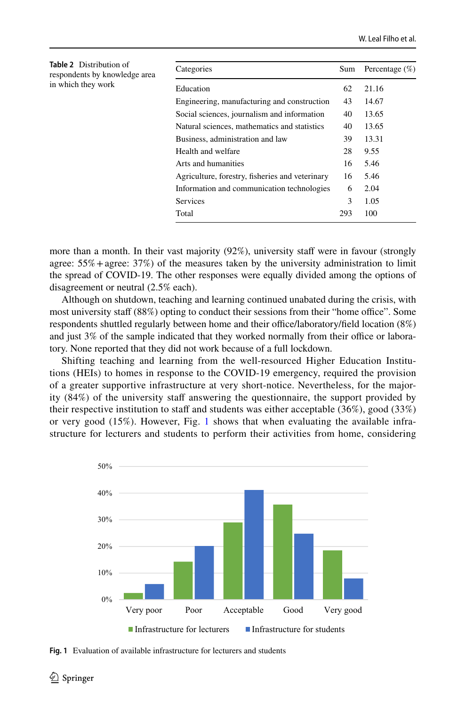<span id="page-7-0"></span>

| <b>Table 2</b> Distribution of<br>respondents by knowledge area | Categories                                      | Sum | Percentage $(\%)$ |
|-----------------------------------------------------------------|-------------------------------------------------|-----|-------------------|
| in which they work                                              | Education                                       | 62  | 21.16             |
|                                                                 | Engineering, manufacturing and construction     | 43  | 14.67             |
|                                                                 | Social sciences, journalism and information     | 40  | 13.65             |
|                                                                 | Natural sciences, mathematics and statistics    | 40  | 13.65             |
|                                                                 | Business, administration and law                | 39  | 13.31             |
|                                                                 | Health and welfare                              | 28  | 9.55              |
|                                                                 | Arts and humanities                             | 16  | 5.46              |
|                                                                 | Agriculture, forestry, fisheries and veterinary | 16  | 5.46              |
|                                                                 | Information and communication technologies      | 6   | 2.04              |
|                                                                 | Services                                        | 3   | 1.05              |
|                                                                 | Total                                           | 293 | 100               |

more than a month. In their vast majority (92%), university staff were in favour (strongly agree:  $55\%$  + agree:  $37\%$ ) of the measures taken by the university administration to limit the spread of COVID-19. The other responses were equally divided among the options of disagreement or neutral (2.5% each).

Although on shutdown, teaching and learning continued unabated during the crisis, with most university staff (88%) opting to conduct their sessions from their "home office". Some respondents shuttled regularly between home and their office/laboratory/field location  $(8\%)$ and just  $3\%$  of the sample indicated that they worked normally from their office or laboratory. None reported that they did not work because of a full lockdown.

Shifting teaching and learning from the well-resourced Higher Education Institutions (HEIs) to homes in response to the COVID-19 emergency, required the provision of a greater supportive infrastructure at very short-notice. Nevertheless, for the majority (84%) of the university staf answering the questionnaire, the support provided by their respective institution to staff and students was either acceptable  $(36\%)$ , good  $(33\%)$ or very good (15%). However, Fig. [1](#page-7-1) shows that when evaluating the available infrastructure for lecturers and students to perform their activities from home, considering



<span id="page-7-1"></span>**Fig. 1** Evaluation of available infrastructure for lecturers and students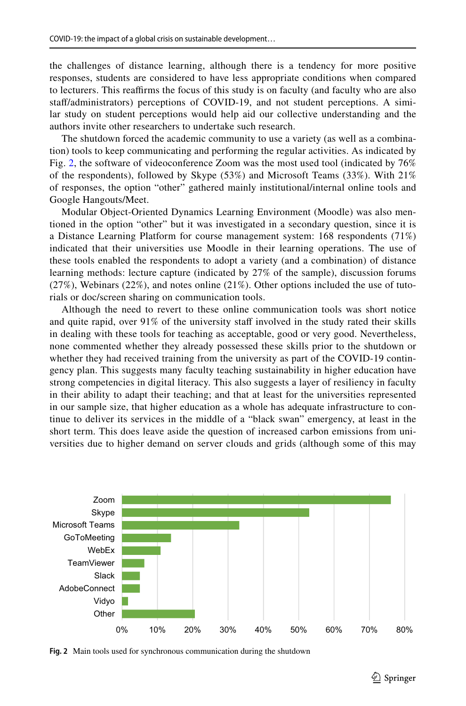the challenges of distance learning, although there is a tendency for more positive responses, students are considered to have less appropriate conditions when compared to lecturers. This reaffirms the focus of this study is on faculty (and faculty who are also staf/administrators) perceptions of COVID-19, and not student perceptions. A similar study on student perceptions would help aid our collective understanding and the authors invite other researchers to undertake such research.

The shutdown forced the academic community to use a variety (as well as a combination) tools to keep communicating and performing the regular activities. As indicated by Fig. [2,](#page-8-0) the software of videoconference Zoom was the most used tool (indicated by 76% of the respondents), followed by Skype  $(53\%)$  and Microsoft Teams  $(33\%)$ . With  $21\%$ of responses, the option "other" gathered mainly institutional/internal online tools and Google Hangouts/Meet.

Modular Object-Oriented Dynamics Learning Environment (Moodle) was also mentioned in the option "other" but it was investigated in a secondary question, since it is a Distance Learning Platform for course management system: 168 respondents (71%) indicated that their universities use Moodle in their learning operations. The use of these tools enabled the respondents to adopt a variety (and a combination) of distance learning methods: lecture capture (indicated by 27% of the sample), discussion forums (27%), Webinars (22%), and notes online (21%). Other options included the use of tutorials or doc/screen sharing on communication tools.

Although the need to revert to these online communication tools was short notice and quite rapid, over  $91\%$  of the university staff involved in the study rated their skills in dealing with these tools for teaching as acceptable, good or very good. Nevertheless, none commented whether they already possessed these skills prior to the shutdown or whether they had received training from the university as part of the COVID-19 contingency plan. This suggests many faculty teaching sustainability in higher education have strong competencies in digital literacy. This also suggests a layer of resiliency in faculty in their ability to adapt their teaching; and that at least for the universities represented in our sample size, that higher education as a whole has adequate infrastructure to continue to deliver its services in the middle of a "black swan" emergency, at least in the short term. This does leave aside the question of increased carbon emissions from universities due to higher demand on server clouds and grids (although some of this may



<span id="page-8-0"></span>**Fig. 2** Main tools used for synchronous communication during the shutdown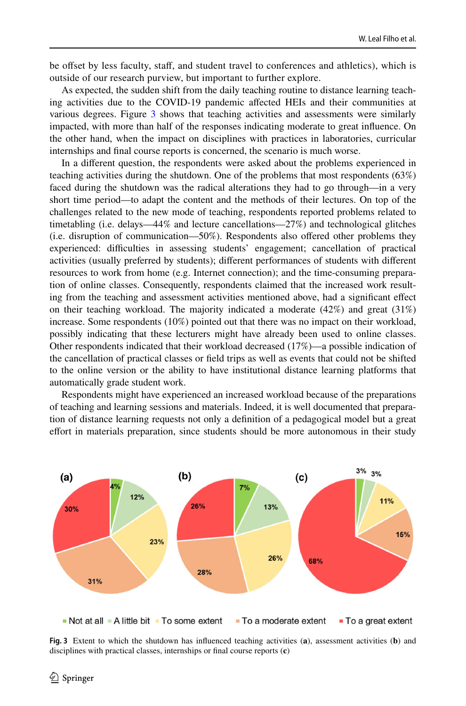be offset by less faculty, staff, and student travel to conferences and athletics), which is outside of our research purview, but important to further explore.

As expected, the sudden shift from the daily teaching routine to distance learning teaching activities due to the COVID-19 pandemic afected HEIs and their communities at various degrees. Figure [3](#page-9-0) shows that teaching activities and assessments were similarly impacted, with more than half of the responses indicating moderate to great infuence. On the other hand, when the impact on disciplines with practices in laboratories, curricular internships and fnal course reports is concerned, the scenario is much worse.

In a diferent question, the respondents were asked about the problems experienced in teaching activities during the shutdown. One of the problems that most respondents (63%) faced during the shutdown was the radical alterations they had to go through—in a very short time period—to adapt the content and the methods of their lectures. On top of the challenges related to the new mode of teaching, respondents reported problems related to timetabling (i.e. delays—44% and lecture cancellations—27%) and technological glitches (i.e. disruption of communication—50%). Respondents also ofered other problems they experienced: difficulties in assessing students' engagement; cancellation of practical activities (usually preferred by students); diferent performances of students with diferent resources to work from home (e.g. Internet connection); and the time-consuming preparation of online classes. Consequently, respondents claimed that the increased work resulting from the teaching and assessment activities mentioned above, had a signifcant efect on their teaching workload. The majority indicated a moderate (42%) and great (31%) increase. Some respondents (10%) pointed out that there was no impact on their workload, possibly indicating that these lecturers might have already been used to online classes. Other respondents indicated that their workload decreased (17%)—a possible indication of the cancellation of practical classes or feld trips as well as events that could not be shifted to the online version or the ability to have institutional distance learning platforms that automatically grade student work.

Respondents might have experienced an increased workload because of the preparations of teaching and learning sessions and materials. Indeed, it is well documented that preparation of distance learning requests not only a defnition of a pedagogical model but a great efort in materials preparation, since students should be more autonomous in their study



<span id="page-9-0"></span>**Fig. 3** Extent to which the shutdown has infuenced teaching activities (**a**), assessment activities (**b**) and disciplines with practical classes, internships or fnal course reports (**c**)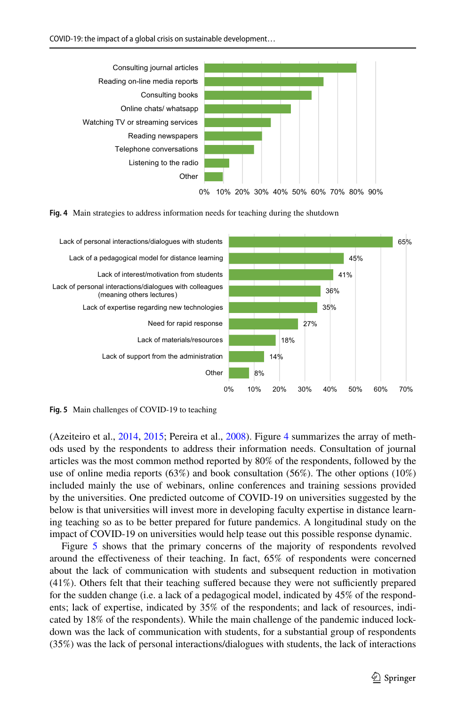

<span id="page-10-0"></span>



<span id="page-10-1"></span>**Fig. 5** Main challenges of COVID-19 to teaching

(Azeiteiro et al., [2014,](#page-16-0) [2015;](#page-16-1) Pereira et al., [2008](#page-18-16)). Figure [4](#page-10-0) summarizes the array of methods used by the respondents to address their information needs. Consultation of journal articles was the most common method reported by 80% of the respondents, followed by the use of online media reports (63%) and book consultation (56%). The other options (10%) included mainly the use of webinars, online conferences and training sessions provided by the universities. One predicted outcome of COVID-19 on universities suggested by the below is that universities will invest more in developing faculty expertise in distance learning teaching so as to be better prepared for future pandemics. A longitudinal study on the impact of COVID-19 on universities would help tease out this possible response dynamic.

Figure [5](#page-10-1) shows that the primary concerns of the majority of respondents revolved around the efectiveness of their teaching. In fact, 65% of respondents were concerned about the lack of communication with students and subsequent reduction in motivation  $(41\%)$ . Others felt that their teaching suffered because they were not sufficiently prepared for the sudden change (i.e. a lack of a pedagogical model, indicated by 45% of the respondents; lack of expertise, indicated by 35% of the respondents; and lack of resources, indicated by 18% of the respondents). While the main challenge of the pandemic induced lockdown was the lack of communication with students, for a substantial group of respondents (35%) was the lack of personal interactions/dialogues with students, the lack of interactions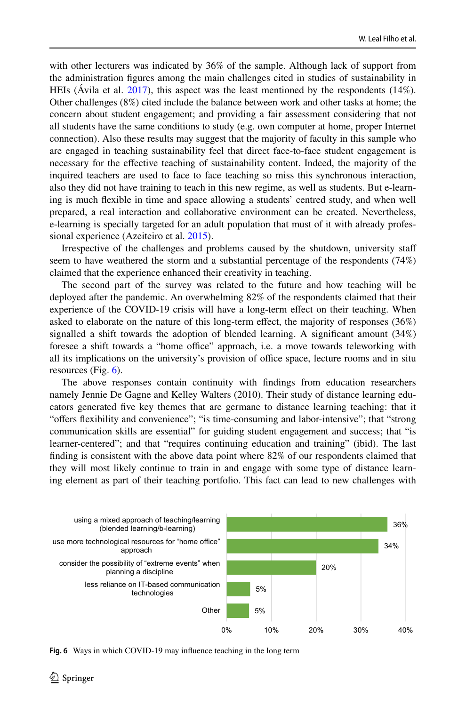with other lecturers was indicated by 36% of the sample. Although lack of support from the administration fgures among the main challenges cited in studies of sustainability in HEIs (Ávila et al. [2017](#page-16-5)), this aspect was the least mentioned by the respondents (14%). Other challenges (8%) cited include the balance between work and other tasks at home; the concern about student engagement; and providing a fair assessment considering that not all students have the same conditions to study (e.g. own computer at home, proper Internet connection). Also these results may suggest that the majority of faculty in this sample who are engaged in teaching sustainability feel that direct face-to-face student engagement is necessary for the efective teaching of sustainability content. Indeed, the majority of the inquired teachers are used to face to face teaching so miss this synchronous interaction, also they did not have training to teach in this new regime, as well as students. But e-learning is much fexible in time and space allowing a students' centred study, and when well prepared, a real interaction and collaborative environment can be created. Nevertheless, e-learning is specially targeted for an adult population that must of it with already professional experience (Azeiteiro et al. [2015\)](#page-16-1).

Irrespective of the challenges and problems caused by the shutdown, university staf seem to have weathered the storm and a substantial percentage of the respondents (74%) claimed that the experience enhanced their creativity in teaching.

The second part of the survey was related to the future and how teaching will be deployed after the pandemic. An overwhelming 82% of the respondents claimed that their experience of the COVID-19 crisis will have a long-term efect on their teaching. When asked to elaborate on the nature of this long-term efect, the majority of responses (36%) signalled a shift towards the adoption of blended learning. A signifcant amount (34%) foresee a shift towards a "home office" approach, i.e. a move towards teleworking with all its implications on the university's provision of office space, lecture rooms and in situ resources (Fig.  $6$ ).

The above responses contain continuity with fndings from education researchers namely Jennie De Gagne and Kelley Walters (2010). Their study of distance learning educators generated fve key themes that are germane to distance learning teaching: that it "offers flexibility and convenience"; "is time-consuming and labor-intensive"; that "strong communication skills are essential" for guiding student engagement and success; that "is learner-centered"; and that "requires continuing education and training" (ibid). The last fnding is consistent with the above data point where 82% of our respondents claimed that they will most likely continue to train in and engage with some type of distance learning element as part of their teaching portfolio. This fact can lead to new challenges with



<span id="page-11-0"></span>**Fig. 6** Ways in which COVID-19 may infuence teaching in the long term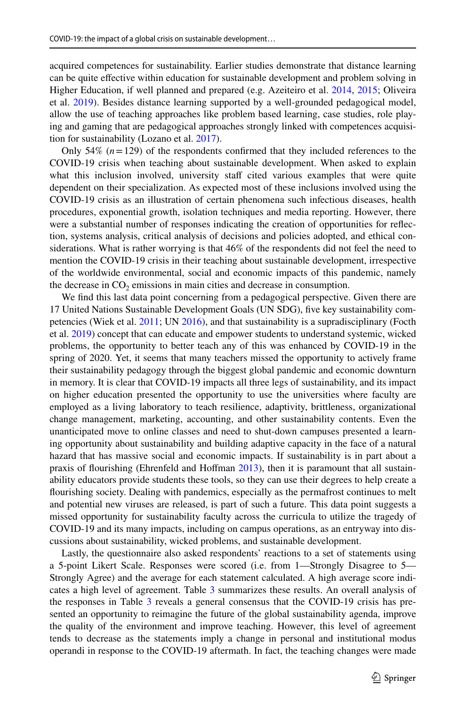acquired competences for sustainability. Earlier studies demonstrate that distance learning can be quite efective within education for sustainable development and problem solving in Higher Education, if well planned and prepared (e.g. Azeiteiro et al. [2014,](#page-16-0) [2015](#page-16-1); Oliveira et al. [2019](#page-18-17)). Besides distance learning supported by a well-grounded pedagogical model, allow the use of teaching approaches like problem based learning, case studies, role playing and gaming that are pedagogical approaches strongly linked with competences acquisition for sustainability (Lozano et al. [2017\)](#page-18-18).

Only 54%  $(n=129)$  of the respondents confirmed that they included references to the COVID-19 crisis when teaching about sustainable development. When asked to explain what this inclusion involved, university staff cited various examples that were quite dependent on their specialization. As expected most of these inclusions involved using the COVID-19 crisis as an illustration of certain phenomena such infectious diseases, health procedures, exponential growth, isolation techniques and media reporting. However, there were a substantial number of responses indicating the creation of opportunities for refection, systems analysis, critical analysis of decisions and policies adopted, and ethical considerations. What is rather worrying is that 46% of the respondents did not feel the need to mention the COVID-19 crisis in their teaching about sustainable development, irrespective of the worldwide environmental, social and economic impacts of this pandemic, namely the decrease in  $CO<sub>2</sub>$  emissions in main cities and decrease in consumption.

We fnd this last data point concerning from a pedagogical perspective. Given there are 17 United Nations Sustainable Development Goals (UN SDG), fve key sustainability competencies (Wiek et al. [2011](#page-19-22); UN [2016](#page-19-23)), and that sustainability is a supradisciplinary (Focth et al. [2019](#page-17-18)) concept that can educate and empower students to understand systemic, wicked problems, the opportunity to better teach any of this was enhanced by COVID-19 in the spring of 2020. Yet, it seems that many teachers missed the opportunity to actively frame their sustainability pedagogy through the biggest global pandemic and economic downturn in memory. It is clear that COVID-19 impacts all three legs of sustainability, and its impact on higher education presented the opportunity to use the universities where faculty are employed as a living laboratory to teach resilience, adaptivity, brittleness, organizational change management, marketing, accounting, and other sustainability contents. Even the unanticipated move to online classes and need to shut-down campuses presented a learning opportunity about sustainability and building adaptive capacity in the face of a natural hazard that has massive social and economic impacts. If sustainability is in part about a praxis of flourishing (Ehrenfeld and Hoffman [2013\)](#page-17-19), then it is paramount that all sustainability educators provide students these tools, so they can use their degrees to help create a fourishing society. Dealing with pandemics, especially as the permafrost continues to melt and potential new viruses are released, is part of such a future. This data point suggests a missed opportunity for sustainability faculty across the curricula to utilize the tragedy of COVID-19 and its many impacts, including on campus operations, as an entryway into discussions about sustainability, wicked problems, and sustainable development.

Lastly, the questionnaire also asked respondents' reactions to a set of statements using a 5-point Likert Scale. Responses were scored (i.e. from 1—Strongly Disagree to 5— Strongly Agree) and the average for each statement calculated. A high average score indicates a high level of agreement. Table [3](#page-13-0) summarizes these results. An overall analysis of the responses in Table [3](#page-13-0) reveals a general consensus that the COVID-19 crisis has presented an opportunity to reimagine the future of the global sustainability agenda, improve the quality of the environment and improve teaching. However, this level of agreement tends to decrease as the statements imply a change in personal and institutional modus operandi in response to the COVID-19 aftermath. In fact, the teaching changes were made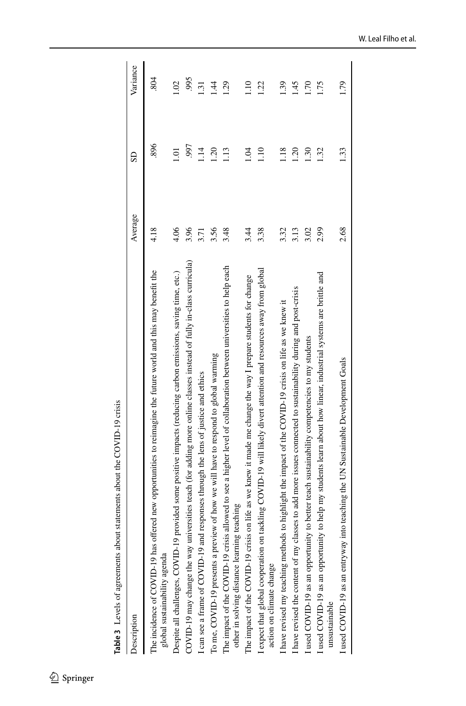<span id="page-13-0"></span>

| Table 3 Levels of agreements about statements about the COVID-19 crisis                                                                                              |         |                       |                 |
|----------------------------------------------------------------------------------------------------------------------------------------------------------------------|---------|-----------------------|-----------------|
| Description                                                                                                                                                          | Average | $\overline{\text{S}}$ | Variance        |
| The incidence of COVID-19 has offered new opportunities to reimagine the future world and this may benefit the<br>global sustainability agenda                       | 4.18    | 896                   | 804             |
| provided some positive impacts (reducing carbon emissions, saving time, etc.)<br>Despite all challenges, COVID-19                                                    | 4.06    | $\overline{0}$        | 02.1            |
| COVID-19 may change the way universities teach (for adding more online classes instead of fully in-class curricula)                                                  | 3.96    | .997                  | 995             |
| I can see a frame of COVID-19 and responses through the lens of justice and ethics                                                                                   | 3.71    | 114                   | 1.31            |
| To me, COVID-19 presents a preview of how we will have to respond to global warming                                                                                  | 3.56    | 1.20                  | - 41            |
| The impact of the COVID-19 crisis allowed to see a higher level of collaboration between universities to help each<br>teaching<br>other in solving distance learning | 3.48    | 1.13                  | 1.29            |
| The impact of the COVID-19 crisis on life as we knew it made me change the way I prepare students for change                                                         | 3.44    | 10 <sup>1</sup>       | 1.10            |
| I expect that global cooperation on tackling COVID-19 will likely divert attention and resources away from global<br>action on climate change                        | 3.38    | 1.10                  | 1.22            |
| I have revised my teaching methods to highlight the impact of the COVID-19 crisis on life as we knew it                                                              | 3.32    | 1.18                  | $\overline{65}$ |
| I have revised the content of my classes to add more issues connected to sustainability during and post-crisis                                                       | 3.13    | 1.20                  | 1.45            |
| I used COVID-19 as an opportunity to better teach sustainability competencies to my students                                                                         | 3.02    | 1.30                  | 1.70            |
| I used COVID-19 as an opportunity to help my students learn about how linear, industrial systems are brittle and<br>unsustainable                                    | 2.99    | 1.32                  | I.75            |
| I used COVID-19 as an entryway into teaching the UN Sustainable Development Goals                                                                                    | 2.68    | 1.33                  | 1.79            |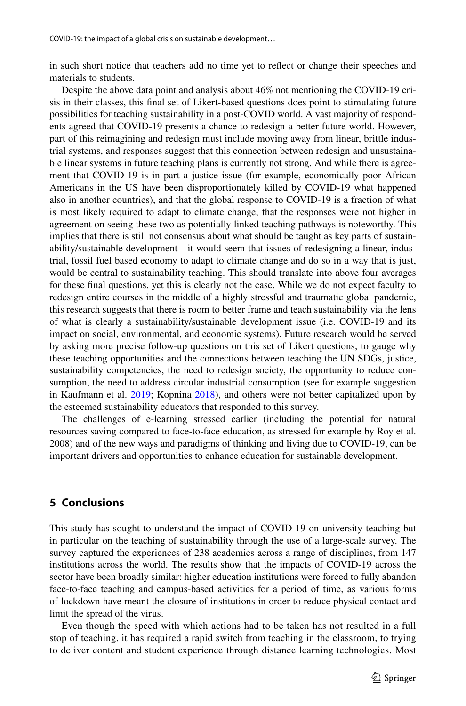in such short notice that teachers add no time yet to refect or change their speeches and materials to students.

Despite the above data point and analysis about 46% not mentioning the COVID-19 crisis in their classes, this fnal set of Likert-based questions does point to stimulating future possibilities for teaching sustainability in a post-COVID world. A vast majority of respondents agreed that COVID-19 presents a chance to redesign a better future world. However, part of this reimagining and redesign must include moving away from linear, brittle industrial systems, and responses suggest that this connection between redesign and unsustainable linear systems in future teaching plans is currently not strong. And while there is agreement that COVID-19 is in part a justice issue (for example, economically poor African Americans in the US have been disproportionately killed by COVID-19 what happened also in another countries), and that the global response to COVID-19 is a fraction of what is most likely required to adapt to climate change, that the responses were not higher in agreement on seeing these two as potentially linked teaching pathways is noteworthy. This implies that there is still not consensus about what should be taught as key parts of sustainability/sustainable development—it would seem that issues of redesigning a linear, industrial, fossil fuel based economy to adapt to climate change and do so in a way that is just, would be central to sustainability teaching. This should translate into above four averages for these fnal questions, yet this is clearly not the case. While we do not expect faculty to redesign entire courses in the middle of a highly stressful and traumatic global pandemic, this research suggests that there is room to better frame and teach sustainability via the lens of what is clearly a sustainability/sustainable development issue (i.e. COVID-19 and its impact on social, environmental, and economic systems). Future research would be served by asking more precise follow-up questions on this set of Likert questions, to gauge why these teaching opportunities and the connections between teaching the UN SDGs, justice, sustainability competencies, the need to redesign society, the opportunity to reduce consumption, the need to address circular industrial consumption (see for example suggestion in Kaufmann et al. [2019](#page-18-19); Kopnina [2018\)](#page-18-20), and others were not better capitalized upon by the esteemed sustainability educators that responded to this survey.

The challenges of e-learning stressed earlier (including the potential for natural resources saving compared to face-to-face education, as stressed for example by Roy et al. 2008) and of the new ways and paradigms of thinking and living due to COVID-19, can be important drivers and opportunities to enhance education for sustainable development.

# **5 Conclusions**

This study has sought to understand the impact of COVID-19 on university teaching but in particular on the teaching of sustainability through the use of a large-scale survey. The survey captured the experiences of 238 academics across a range of disciplines, from 147 institutions across the world. The results show that the impacts of COVID-19 across the sector have been broadly similar: higher education institutions were forced to fully abandon face-to-face teaching and campus-based activities for a period of time, as various forms of lockdown have meant the closure of institutions in order to reduce physical contact and limit the spread of the virus.

Even though the speed with which actions had to be taken has not resulted in a full stop of teaching, it has required a rapid switch from teaching in the classroom, to trying to deliver content and student experience through distance learning technologies. Most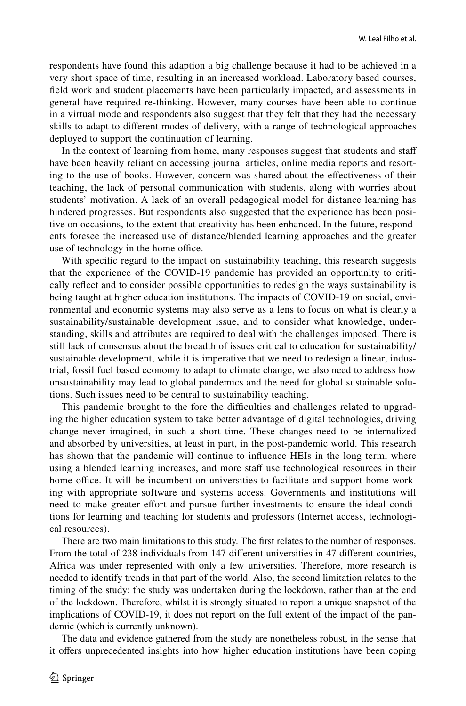respondents have found this adaption a big challenge because it had to be achieved in a very short space of time, resulting in an increased workload. Laboratory based courses, feld work and student placements have been particularly impacted, and assessments in general have required re-thinking. However, many courses have been able to continue in a virtual mode and respondents also suggest that they felt that they had the necessary skills to adapt to diferent modes of delivery, with a range of technological approaches deployed to support the continuation of learning.

In the context of learning from home, many responses suggest that students and staf have been heavily reliant on accessing journal articles, online media reports and resorting to the use of books. However, concern was shared about the efectiveness of their teaching, the lack of personal communication with students, along with worries about students' motivation. A lack of an overall pedagogical model for distance learning has hindered progresses. But respondents also suggested that the experience has been positive on occasions, to the extent that creativity has been enhanced. In the future, respondents foresee the increased use of distance/blended learning approaches and the greater use of technology in the home office.

With specific regard to the impact on sustainability teaching, this research suggests that the experience of the COVID-19 pandemic has provided an opportunity to critically refect and to consider possible opportunities to redesign the ways sustainability is being taught at higher education institutions. The impacts of COVID-19 on social, environmental and economic systems may also serve as a lens to focus on what is clearly a sustainability/sustainable development issue, and to consider what knowledge, understanding, skills and attributes are required to deal with the challenges imposed. There is still lack of consensus about the breadth of issues critical to education for sustainability/ sustainable development, while it is imperative that we need to redesign a linear, industrial, fossil fuel based economy to adapt to climate change, we also need to address how unsustainability may lead to global pandemics and the need for global sustainable solutions. Such issues need to be central to sustainability teaching.

This pandemic brought to the fore the difficulties and challenges related to upgrading the higher education system to take better advantage of digital technologies, driving change never imagined, in such a short time. These changes need to be internalized and absorbed by universities, at least in part, in the post-pandemic world. This research has shown that the pandemic will continue to infuence HEIs in the long term, where using a blended learning increases, and more staff use technological resources in their home office. It will be incumbent on universities to facilitate and support home working with appropriate software and systems access. Governments and institutions will need to make greater effort and pursue further investments to ensure the ideal conditions for learning and teaching for students and professors (Internet access, technological resources).

There are two main limitations to this study. The frst relates to the number of responses. From the total of 238 individuals from 147 diferent universities in 47 diferent countries, Africa was under represented with only a few universities. Therefore, more research is needed to identify trends in that part of the world. Also, the second limitation relates to the timing of the study; the study was undertaken during the lockdown, rather than at the end of the lockdown. Therefore, whilst it is strongly situated to report a unique snapshot of the implications of COVID-19, it does not report on the full extent of the impact of the pandemic (which is currently unknown).

The data and evidence gathered from the study are nonetheless robust, in the sense that it ofers unprecedented insights into how higher education institutions have been coping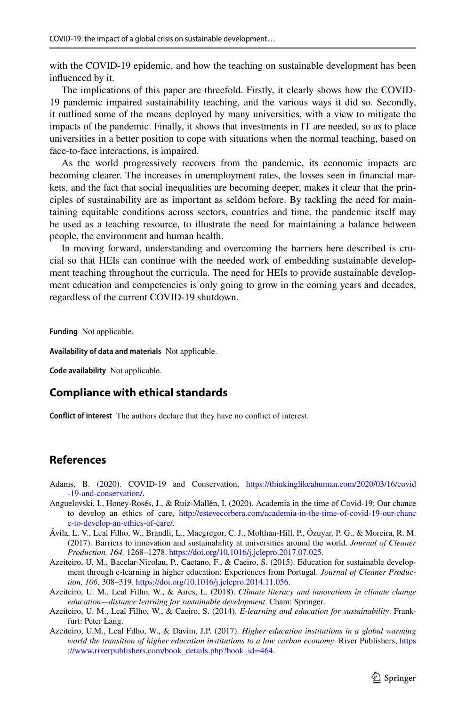with the COVID-19 epidemic, and how the teaching on sustainable development has been infuenced by it.

The implications of this paper are threefold. Firstly, it clearly shows how the COVID-19 pandemic impaired sustainability teaching, and the various ways it did so. Secondly, it outlined some of the means deployed by many universities, with a view to mitigate the impacts of the pandemic. Finally, it shows that investments in IT are needed, so as to place universities in a better position to cope with situations when the normal teaching, based on face-to-face interactions, is impaired.

As the world progressively recovers from the pandemic, its economic impacts are becoming clearer. The increases in unemployment rates, the losses seen in fnancial markets, and the fact that social inequalities are becoming deeper, makes it clear that the principles of sustainability are as important as seldom before. By tackling the need for maintaining equitable conditions across sectors, countries and time, the pandemic itself may be used as a teaching resource, to illustrate the need for maintaining a balance between people, the environment and human health.

In moving forward, understanding and overcoming the barriers here described is crucial so that HEIs can continue with the needed work of embedding sustainable development teaching throughout the curricula. The need for HEIs to provide sustainable development education and competencies is only going to grow in the coming years and decades, regardless of the current COVID-19 shutdown.

**Funding** Not applicable.

**Availability of data and materials** Not applicable.

**Code availability** Not applicable.

# **Compliance with ethical standards**

**Confict of interest** The authors declare that they have no confict of interest.

# **References**

- <span id="page-16-4"></span>Adams, B. (2020). COVID-19 and Conservation, [https://thinkinglikeahuman.com/2020/03/16/covid](https://thinkinglikeahuman.com/2020/03/16/covid-19-and-conservation/) [-19-and-conservation/](https://thinkinglikeahuman.com/2020/03/16/covid-19-and-conservation/).
- <span id="page-16-3"></span>Anguelovski, I., Honey-Rosés, J., & Ruiz-Mallén, I. (2020). Academia in the time of Covid-19: Our chance to develop an ethics of care, [http://estevecorbera.com/academia-in-the-time-of-covid-19-our-chanc](http://estevecorbera.com/academia-in-the-time-of-covid-19-our-chance-to-develop-an-ethics-of-care/) [e-to-develop-an-ethics-of-care/.](http://estevecorbera.com/academia-in-the-time-of-covid-19-our-chance-to-develop-an-ethics-of-care/)
- <span id="page-16-5"></span>Ávila, L. V., Leal Filho, W., Brandli, L., Macgregor, C. J., Molthan-Hill, P., Özuyar, P. G., & Moreira, R. M. (2017). Barriers to innovation and sustainability at universities around the world. *Journal of Cleaner Production, 164,* 1268–1278. <https://doi.org/10.1016/j.jclepro.2017.07.025>.
- <span id="page-16-1"></span>Azeiteiro, U. M., Bacelar-Nicolau, P., Caetano, F., & Caeiro, S. (2015). Education for sustainable development through e-learning in higher education: Experiences from Portugal. *Journal of Cleaner Production, 106,* 308–319.<https://doi.org/10.1016/j.jclepro.2014.11.056>.
- <span id="page-16-2"></span>Azeiteiro, U. M., Leal Filho, W., & Aires, L. (2018). *Climate literacy and innovations in climate change education—distance learning for sustainable development*. Cham: Springer.
- <span id="page-16-0"></span>Azeiteiro, U. M., Leal Filho, W., & Caeiro, S. (2014). *E-learning and education for sustainability*. Frankfurt: Peter Lang.
- Azeiteiro, U.M., Leal Filho, W., & Davim, J.P. (2017). *Higher education institutions in a global warming world the transition of higher education institutions to a low carbon economy*. River Publishers, [https](https://www.riverpublishers.com/book_details.php?book_id=464) [://www.riverpublishers.com/book\\_details.php?book\\_id=464.](https://www.riverpublishers.com/book_details.php?book_id=464)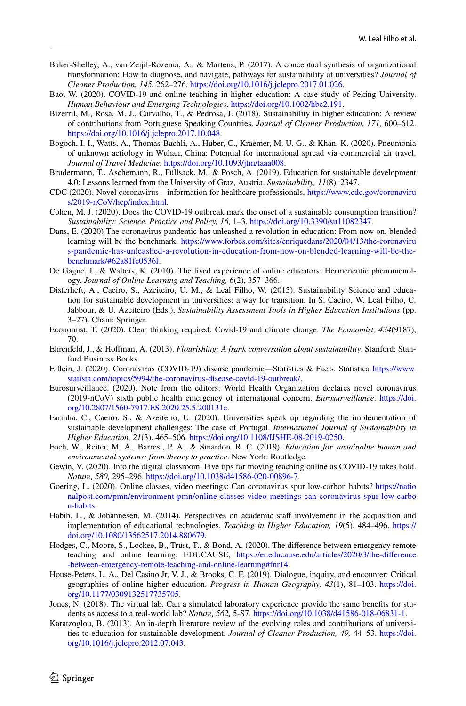- <span id="page-17-13"></span>Baker-Shelley, A., van Zeijil-Rozema, A., & Martens, P. (2017). A conceptual synthesis of organizational transformation: How to diagnose, and navigate, pathways for sustainability at universities? *Journal of Cleaner Production, 145,* 262–276.<https://doi.org/10.1016/j.jclepro.2017.01.026>.
- <span id="page-17-11"></span>Bao, W. (2020). COVID-19 and online teaching in higher education: A case study of Peking University. *Human Behaviour and Emerging Technologies*. [https://doi.org/10.1002/hbe2.191.](https://doi.org/10.1002/hbe2.191)
- <span id="page-17-2"></span>Bizerril, M., Rosa, M. J., Carvalho, T., & Pedrosa, J. (2018). Sustainability in higher education: A review of contributions from Portuguese Speaking Countries. *Journal of Cleaner Production, 171,* 600–612. [https://doi.org/10.1016/j.jclepro.2017.10.048.](https://doi.org/10.1016/j.jclepro.2017.10.048)
- <span id="page-17-1"></span>Bogoch, I. I., Watts, A., Thomas-Bachli, A., Huber, C., Kraemer, M. U. G., & Khan, K. (2020). Pneumonia of unknown aetiology in Wuhan, China: Potential for international spread via commercial air travel. *Journal of Travel Medicine*. [https://doi.org/10.1093/jtm/taaa008.](https://doi.org/10.1093/jtm/taaa008)
- <span id="page-17-4"></span>Brudermann, T., Aschemann, R., Füllsack, M., & Posch, A. (2019). Education for sustainable development 4.0: Lessons learned from the University of Graz, Austria. *Sustainability, 11*(8), 2347.
- CDC (2020). Novel coronavirus—information for healthcare professionals, [https://www.cdc.gov/coronaviru](https://www.cdc.gov/coronavirus/2019-nCoV/hcp/index.html) [s/2019-nCoV/hcp/index.html](https://www.cdc.gov/coronavirus/2019-nCoV/hcp/index.html).
- <span id="page-17-16"></span>Cohen, M. J. (2020). Does the COVID-19 outbreak mark the onset of a sustainable consumption transition? *Sustainability: Science*. *Practice and Policy, 16,* 1–3. <https://doi.org/10.3390/su11082347>.
- <span id="page-17-7"></span>Dans, E. (2020) The coronavirus pandemic has unleashed a revolution in education: From now on, blended learning will be the benchmark, [https://www.forbes.com/sites/enriquedans/2020/04/13/the-coronaviru](https://www.forbes.com/sites/enriquedans/2020/04/13/the-coronavirus-pandemic-has-unleashed-a-revolution-in-education-from-now-on-blended-learning-will-be-the-benchmark/#62a81fc0536f) [s-pandemic-has-unleashed-a-revolution-in-education-from-now-on-blended-learning-will-be-the](https://www.forbes.com/sites/enriquedans/2020/04/13/the-coronavirus-pandemic-has-unleashed-a-revolution-in-education-from-now-on-blended-learning-will-be-the-benchmark/#62a81fc0536f)[benchmark/#62a81fc0536f.](https://www.forbes.com/sites/enriquedans/2020/04/13/the-coronavirus-pandemic-has-unleashed-a-revolution-in-education-from-now-on-blended-learning-will-be-the-benchmark/#62a81fc0536f)
- De Gagne, J., & Walters, K. (2010). The lived experience of online educators: Hermeneutic phenomenology. *Journal of Online Learning and Teaching, 6*(2), 357–366.
- <span id="page-17-14"></span>Disterheft, A., Caeiro, S., Azeiteiro, U. M., & Leal Filho, W. (2013). Sustainability Science and education for sustainable development in universities: a way for transition. In S. Caeiro, W. Leal Filho, C. Jabbour, & U. Azeiteiro (Eds.), *Sustainability Assessment Tools in Higher Education Institutions* (pp. 3–27). Cham: Springer.
- <span id="page-17-17"></span>Economist, T. (2020). Clear thinking required; Covid-19 and climate change. *The Economist, 434*(9187), 70.
- <span id="page-17-15"></span>Ehrenfeld, J., & Hofman, A. (2013). *Flourishing: A frank conversation about sustainability*. Stanford: Stanford Business Books.
- <span id="page-17-19"></span>Elfein, J. (2020). Coronavirus (COVID-19) disease pandemic—Statistics & Facts. Statistica [https://www.](https://www.statista.com/topics/5994/the-coronavirus-disease-covid-19-outbreak/) [statista.com/topics/5994/the-coronavirus-disease-covid-19-outbreak/](https://www.statista.com/topics/5994/the-coronavirus-disease-covid-19-outbreak/).
- <span id="page-17-0"></span>Eurosurveillance. (2020). Note from the editors: World Health Organization declares novel coronavirus (2019-nCoV) sixth public health emergency of international concern. *Eurosurveillance*. [https://doi.](https://doi.org/10.2807/1560-7917.ES.2020.25.5.200131e) [org/10.2807/1560-7917.ES.2020.25.5.200131e](https://doi.org/10.2807/1560-7917.ES.2020.25.5.200131e).
- <span id="page-17-8"></span>Farinha, C., Caeiro, S., & Azeiteiro, U. (2020). Universities speak up regarding the implementation of sustainable development challenges: The case of Portugal. *International Journal of Sustainability in Higher Education, 21*(3), 465–506. [https://doi.org/10.1108/IJSHE-08-2019-0250.](https://doi.org/10.1108/IJSHE-08-2019-0250)
- <span id="page-17-3"></span>Foch, W., Reiter, M. A., Barresi, P. A., & Smardon, R. C. (2019). *Education for sustainable human and environmental systems: from theory to practice*. New York: Routledge.
- <span id="page-17-18"></span>Gewin, V. (2020). Into the digital classroom. Five tips for moving teaching online as COVID-19 takes hold. *Nature, 580,* 295–296. <https://doi.org/10.1038/d41586-020-00896-7>.
- <span id="page-17-9"></span>Goering, L. (2020). Online classes, video meetings: Can coronavirus spur low-carbon habits? [https://natio](https://nationalpost.com/pmn/environment-pmn/online-classes-video-meetings-can-coronavirus-spur-low-carbon-habits) [nalpost.com/pmn/environment-pmn/online-classes-video-meetings-can-coronavirus-spur-low-carbo](https://nationalpost.com/pmn/environment-pmn/online-classes-video-meetings-can-coronavirus-spur-low-carbon-habits) [n-habits.](https://nationalpost.com/pmn/environment-pmn/online-classes-video-meetings-can-coronavirus-spur-low-carbon-habits)
- Habib, L., & Johannesen, M. (2014). Perspectives on academic staf involvement in the acquisition and implementation of educational technologies. *Teaching in Higher Education, 19*(5), 484–496. [https://](https://doi.org/10.1080/13562517.2014.880679) [doi.org/10.1080/13562517.2014.880679.](https://doi.org/10.1080/13562517.2014.880679)
- <span id="page-17-5"></span>Hodges, C., Moore, S., Lockee, B., Trust, T., & Bond, A. (2020). The diference between emergency remote teaching and online learning. EDUCAUSE, [https://er.educause.edu/articles/2020/3/the-diference](https://er.educause.edu/articles/2020/3/the-difference-between-emergency-remote-teaching-and-online-learning#fnr14) [-between-emergency-remote-teaching-and-online-learning#fnr14.](https://er.educause.edu/articles/2020/3/the-difference-between-emergency-remote-teaching-and-online-learning#fnr14)
- <span id="page-17-6"></span>House-Peters, L. A., Del Casino Jr, V. J., & Brooks, C. F. (2019). Dialogue, inquiry, and encounter: Critical geographies of online higher education. *Progress in Human Geography, 43*(1), 81–103. [https://doi.](https://doi.org/10.1177/0309132517735705) [org/10.1177/0309132517735705.](https://doi.org/10.1177/0309132517735705)
- <span id="page-17-10"></span>Jones, N. (2018). The virtual lab. Can a simulated laboratory experience provide the same benefts for students as access to a real-world lab? *Nature, 562,* 5-S7. <https://doi.org/10.1038/d41586-018-06831-1>.
- <span id="page-17-12"></span>Karatzoglou, B. (2013). An in-depth literature review of the evolving roles and contributions of universities to education for sustainable development. *Journal of Cleaner Production, 49,* 44–53. [https://doi.](https://doi.org/10.1016/j.jclepro.2012.07.043) [org/10.1016/j.jclepro.2012.07.043](https://doi.org/10.1016/j.jclepro.2012.07.043).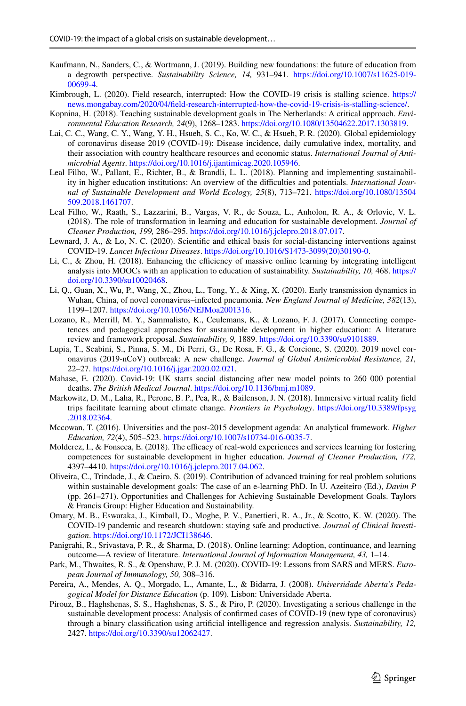- <span id="page-18-6"></span>Kaufmann, N., Sanders, C., & Wortmann, J. (2019). Building new foundations: the future of education from a degrowth perspective. *Sustainability Science, 14,* 931–941. [https://doi.org/10.1007/s11625-019-](https://doi.org/10.1007/s11625-019-00699-4) [00699-4](https://doi.org/10.1007/s11625-019-00699-4).
- <span id="page-18-19"></span>Kimbrough, L. (2020). Field research, interrupted: How the COVID-19 crisis is stalling science. [https://](https://news.mongabay.com/2020/04/field-research-interrupted-how-the-covid-19-crisis-is-stalling-science/) [news.mongabay.com/2020/04/feld-research-interrupted-how-the-covid-19-crisis-is-stalling-science/](https://news.mongabay.com/2020/04/field-research-interrupted-how-the-covid-19-crisis-is-stalling-science/).
- <span id="page-18-12"></span>Kopnina, H. (2018). Teaching sustainable development goals in The Netherlands: A critical approach. *Environmental Education Research, 24*(9), 1268–1283. <https://doi.org/10.1080/13504622.2017.1303819>.
- <span id="page-18-20"></span>Lai, C. C., Wang, C. Y., Wang, Y. H., Hsueh, S. C., Ko, W. C., & Hsueh, P. R. (2020). Global epidemiology of coronavirus disease 2019 (COVID-19): Disease incidence, daily cumulative index, mortality, and their association with country healthcare resources and economic status. *International Journal of Antimicrobial Agents*. <https://doi.org/10.1016/j.ijantimicag.2020.105946>.
- <span id="page-18-3"></span>Leal Filho, W., Pallant, E., Richter, B., & Brandli, L. L. (2018). Planning and implementing sustainability in higher education institutions: An overview of the difculties and potentials. *International Journal of Sustainable Development and World Ecology, 25*(8), 713–721. [https://doi.org/10.1080/13504](https://doi.org/10.1080/13504509.2018.1461707) [509.2018.1461707.](https://doi.org/10.1080/13504509.2018.1461707)
- <span id="page-18-7"></span>Leal Filho, W., Raath, S., Lazzarini, B., Vargas, V. R., de Souza, L., Anholon, R. A., & Orlovic, V. L. (2018). The role of transformation in learning and education for sustainable development. *Journal of Cleaner Production, 199,* 286–295.<https://doi.org/10.1016/j.jclepro.2018.07.017>.
- <span id="page-18-13"></span>Lewnard, J. A., & Lo, N. C. (2020). Scientifc and ethical basis for social-distancing interventions against COVID-19. *Lancet Infectious Diseases*. [https://doi.org/10.1016/S1473-3099\(20\)30190-0.](https://doi.org/10.1016/S1473-3099(20)30190-0)
- <span id="page-18-4"></span>Li, C., & Zhou, H. (2018). Enhancing the efficiency of massive online learning by integrating intelligent analysis into MOOCs with an application to education of sustainability. *Sustainability, 10,* 468. [https://](https://doi.org/10.3390/su10020468) [doi.org/10.3390/su10020468](https://doi.org/10.3390/su10020468).
- <span id="page-18-15"></span>Li, Q., Guan, X., Wu, P., Wang, X., Zhou, L., Tong, Y., & Xing, X. (2020). Early transmission dynamics in Wuhan, China, of novel coronavirus–infected pneumonia. *New England Journal of Medicine, 382*(13), 1199–1207. [https://doi.org/10.1056/NEJMoa2001316.](https://doi.org/10.1056/NEJMoa2001316)
- <span id="page-18-0"></span>Lozano, R., Merrill, M. Y., Sammalisto, K., Ceulemans, K., & Lozano, F. J. (2017). Connecting competences and pedagogical approaches for sustainable development in higher education: A literature review and framework proposal. *Sustainability, 9,* 1889. <https://doi.org/10.3390/su9101889>.
- <span id="page-18-18"></span>Lupia, T., Scabini, S., Pinna, S. M., Di Perri, G., De Rosa, F. G., & Corcione, S. (2020). 2019 novel coronavirus (2019-nCoV) outbreak: A new challenge. *Journal of Global Antimicrobial Resistance, 21,* 22–27. <https://doi.org/10.1016/j.jgar.2020.02.021>.
- <span id="page-18-1"></span>Mahase, E. (2020). Covid-19: UK starts social distancing after new model points to 260 000 potential deaths. *The British Medical Journal*.<https://doi.org/10.1136/bmj.m1089>.
- <span id="page-18-8"></span>Markowitz, D. M., Laha, R., Perone, B. P., Pea, R., & Bailenson, J. N. (2018). Immersive virtual reality feld trips facilitate learning about climate change. *Frontiers in Psychology*. [https://doi.org/10.3389/fpsyg](https://doi.org/10.3389/fpsyg.2018.02364) [.2018.02364.](https://doi.org/10.3389/fpsyg.2018.02364)
- <span id="page-18-11"></span>Mccowan, T. (2016). Universities and the post-2015 development agenda: An analytical framework. *Higher Education, 72*(4), 505–523. [https://doi.org/10.1007/s10734-016-0035-7.](https://doi.org/10.1007/s10734-016-0035-7)
- <span id="page-18-5"></span>Molderez, I., & Fonseca, E. (2018). The efficacy of real-wold experiences and services learning for fostering competences for sustainable development in higher education. *Journal of Cleaner Production, 172,* 4397–4410. [https://doi.org/10.1016/j.jclepro.2017.04.062.](https://doi.org/10.1016/j.jclepro.2017.04.062)
- <span id="page-18-17"></span>Oliveira, C., Trindade, J., & Caeiro, S. (2019). Contribution of advanced training for real problem solutions within sustainable development goals: The case of an e-learning PhD. In U. Azeiteiro (Ed.), *Davim P* (pp. 261–271). Opportunities and Challenges for Achieving Sustainable Development Goals. Taylors & Francis Group: Higher Education and Sustainability.
- <span id="page-18-14"></span>Omary, M. B., Eswaraka, J., Kimball, D., Moghe, P. V., Panettieri, R. A., Jr., & Scotto, K. W. (2020). The COVID-19 pandemic and research shutdown: staying safe and productive. *Journal of Clinical Investigation*. <https://doi.org/10.1172/JCI138646>.
- <span id="page-18-9"></span>Panigrahi, R., Srivastava, P. R., & Sharma, D. (2018). Online learning: Adoption, continuance, and learning outcome—A review of literature. *International Journal of Information Management, 43,* 1–14.
- <span id="page-18-10"></span>Park, M., Thwaites, R. S., & Openshaw, P. J. M. (2020). COVID-19: Lessons from SARS and MERS. *European Journal of Immunology, 50,* 308–316.
- <span id="page-18-2"></span>Pereira, A., Mendes, A. Q., Morgado, L., Amante, L., & Bidarra, J. (2008). *Universidade Aberta's Pedagogical Model for Distance Education* (p. 109). Lisbon: Universidade Aberta.
- <span id="page-18-16"></span>Pirouz, B., Haghshenas, S. S., Haghshenas, S. S., & Piro, P. (2020). Investigating a serious challenge in the sustainable development process: Analysis of confrmed cases of COVID-19 (new type of coronavirus) through a binary classifcation using artifcial intelligence and regression analysis. *Sustainability, 12,* 2427. <https://doi.org/10.3390/su12062427>.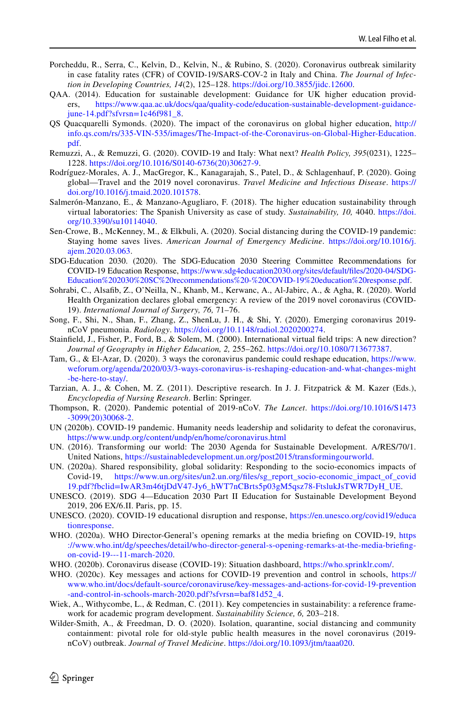- <span id="page-19-20"></span>Porcheddu, R., Serra, C., Kelvin, D., Kelvin, N., & Rubino, S. (2020). Coronavirus outbreak similarity in case fatality rates (CFR) of COVID-19/SARS-COV-2 in Italy and China. *The Journal of Infection in Developing Countries, 14*(2), 125–128. [https://doi.org/10.3855/jidc.12600.](https://doi.org/10.3855/jidc.12600)
- <span id="page-19-2"></span>QAA. (2014). Education for sustainable development: Guidance for UK higher education providers, [https://www.qaa.ac.uk/docs/qaa/quality-code/education-sustainable-development-guidance](https://www.qaa.ac.uk/docs/qaa/quality-code/education-sustainable-development-guidance-june-14.pdf?sfvrsn=1c46f981_8) $june-14.pdf?sfvrsn=1c46f9818.$
- <span id="page-19-18"></span>QS Quacquarelli Symonds. (2020). The impact of the coronavirus on global higher education, [http://](http://info.qs.com/rs/335-VIN-535/images/The-Impact-of-the-Coronavirus-on-Global-Higher-Education.pdf) [info.qs.com/rs/335-VIN-535/images/The-Impact-of-the-Coronavirus-on-Global-Higher-Education.](http://info.qs.com/rs/335-VIN-535/images/The-Impact-of-the-Coronavirus-on-Global-Higher-Education.pdf) [pdf.](http://info.qs.com/rs/335-VIN-535/images/The-Impact-of-the-Coronavirus-on-Global-Higher-Education.pdf)
- <span id="page-19-21"></span>Remuzzi, A., & Remuzzi, G. (2020). COVID-19 and Italy: What next? *Health Policy, 395*(0231), 1225– 1228. [https://doi.org/10.1016/S0140-6736\(20\)30627-9](https://doi.org/10.1016/S0140-6736(20)30627-9).
- <span id="page-19-7"></span>Rodríguez-Morales, A. J., MacGregor, K., Kanagarajah, S., Patel, D., & Schlagenhauf, P. (2020). Going global—Travel and the 2019 novel coronavirus. *Travel Medicine and Infectious Disease*. [https://](https://doi.org/10.1016/j.tmaid.2020.101578) [doi.org/10.1016/j.tmaid.2020.101578](https://doi.org/10.1016/j.tmaid.2020.101578).
- <span id="page-19-1"></span>Salmerón-Manzano, E., & Manzano-Agugliaro, F. (2018). The higher education sustainability through virtual laboratories: The Spanish University as case of study. *Sustainability, 10,* 4040. [https://doi.](https://doi.org/10.3390/su10114040) [org/10.3390/su10114040](https://doi.org/10.3390/su10114040).
- <span id="page-19-11"></span>Sen-Crowe, B., McKenney, M., & Elkbuli, A. (2020). Social distancing during the COVID-19 pandemic: Staying home saves lives. *American Journal of Emergency Medicine*. [https://doi.org/10.1016/j.](https://doi.org/10.1016/j.ajem.2020.03.063) [ajem.2020.03.063](https://doi.org/10.1016/j.ajem.2020.03.063).
- <span id="page-19-15"></span>SDG-Education 2030. (2020). The SDG‐Education 2030 Steering Committee Recommendations for COVID‐19 Education Response, [https://www.sdg4education2030.org/sites/default/fles/2020-04/SDG-](https://www.sdg4education2030.org/sites/default/files/2020-04/SDG-Education%202030%20SC%20recommendations%20-%20COVID-19%20education%20response.pdf)[Education%202030%20SC%20recommendations%20-%20COVID-19%20education%20response.pdf.](https://www.sdg4education2030.org/sites/default/files/2020-04/SDG-Education%202030%20SC%20recommendations%20-%20COVID-19%20education%20response.pdf)
- <span id="page-19-17"></span>Sohrabi, C., Alsafb, Z., O'Neilla, N., Khanb, M., Kerwanc, A., Al-Jabirc, A., & Agha, R. (2020). World Health Organization declares global emergency: A review of the 2019 novel coronavirus (COVID-19). *International Journal of Surgery, 76,* 71–76.
- <span id="page-19-0"></span>Song, F., Shi, N., Shan, F., Zhang, Z., ShenLu, J. H., & Shi, Y. (2020). Emerging coronavirus 2019 nCoV pneumonia. *Radiology*.<https://doi.org/10.1148/radiol.2020200274>.
- <span id="page-19-9"></span>Stainfeld, J., Fisher, P., Ford, B., & Solem, M. (2000). International virtual feld trips: A new direction? *Journal of Geography in Higher Education, 2,* 255–262. [https://doi.org/10.1080/713677387.](https://doi.org/10.1080/713677387)
- <span id="page-19-14"></span>Tam, G., & El-Azar, D. (2020). 3 ways the coronavirus pandemic could reshape education, [https://www.](https://www.weforum.org/agenda/2020/03/3-ways-coronavirus-is-reshaping-education-and-what-changes-might-be-here-to-stay/) [weforum.org/agenda/2020/03/3-ways-coronavirus-is-reshaping-education-and-what-changes-might](https://www.weforum.org/agenda/2020/03/3-ways-coronavirus-is-reshaping-education-and-what-changes-might-be-here-to-stay/) [-be-here-to-stay/.](https://www.weforum.org/agenda/2020/03/3-ways-coronavirus-is-reshaping-education-and-what-changes-might-be-here-to-stay/)
- <span id="page-19-13"></span>Tarzian, A. J., & Cohen, M. Z. (2011). Descriptive research. In J. J. Fitzpatrick & M. Kazer (Eds.), *Encyclopedia of Nursing Research*. Berlin: Springer.
- <span id="page-19-3"></span>Thompson, R. (2020). Pandemic potential of 2019-nCoV. *The Lancet*. [https://doi.org/10.1016/S1473](https://doi.org/10.1016/S1473-3099(20)30068-2) [-3099\(20\)30068-2](https://doi.org/10.1016/S1473-3099(20)30068-2).
- <span id="page-19-6"></span>UN (2020b). COVID-19 pandemic. Humanity needs leadership and solidarity to defeat the coronavirus, <https://www.undp.org/content/undp/en/home/coronavirus.html>
- <span id="page-19-10"></span>UN. (2016). Transforming our world: The 2030 Agenda for Sustainable Development. A/RES/70/1. United Nations, [https://sustainabledevelopment.un.org/post2015/transformingourworld.](https://sustainabledevelopment.un.org/post2015/transformingourworld)
- <span id="page-19-23"></span>UN. (2020a). Shared responsibility, global solidarity: Responding to the socio-economics impacts of Covid-19, [https://www.un.org/sites/un2.un.org/fles/sg\\_report\\_socio-economic\\_impact\\_of\\_covid](https://www.un.org/sites/un2.un.org/files/sg_report_socio-economic_impact_of_covid19.pdf?fbclid=IwAR3m46tjDdV47-Jy6_hWT7nCBrts5p03gM5qsz78-FtslukJsTWR7DyH_UE) [19.pdf?fbclid=IwAR3m46tjDdV47-Jy6\\_hWT7nCBrts5p03gM5qsz78-FtslukJsTWR7DyH\\_UE](https://www.un.org/sites/un2.un.org/files/sg_report_socio-economic_impact_of_covid19.pdf?fbclid=IwAR3m46tjDdV47-Jy6_hWT7nCBrts5p03gM5qsz78-FtslukJsTWR7DyH_UE).
- <span id="page-19-19"></span>UNESCO. (2019). SDG 4—Education 2030 Part II Education for Sustainable Development Beyond 2019, 206 EX/6.II. Paris, pp. 15.
- <span id="page-19-12"></span>UNESCO. (2020). COVID-19 educational disruption and response, [https://en.unesco.org/covid19/educa](https://en.unesco.org/covid19/educationresponse) [tionresponse.](https://en.unesco.org/covid19/educationresponse)
- <span id="page-19-4"></span>WHO. (2020a). WHO Director-General's opening remarks at the media briefng on COVID-19, [https](https://www.who.int/dg/speeches/detail/who-director-general-s-opening-remarks-at-the-media-briefing-on-covid-19---11-march-2020) [://www.who.int/dg/speeches/detail/who-director-general-s-opening-remarks-at-the-media-briefing](https://www.who.int/dg/speeches/detail/who-director-general-s-opening-remarks-at-the-media-briefing-on-covid-19---11-march-2020)[on-covid-19---11-march-2020.](https://www.who.int/dg/speeches/detail/who-director-general-s-opening-remarks-at-the-media-briefing-on-covid-19---11-march-2020)
- <span id="page-19-8"></span>WHO. (2020b). Coronavirus disease (COVID-19): Situation dashboard, [https://who.sprinklr.com/.](https://who.sprinklr.com/)
- <span id="page-19-16"></span>WHO. (2020c). Key messages and actions for COVID-19 prevention and control in schools, [https://](https://www.who.int/docs/default-source/coronaviruse/key-messages-and-actions-for-covid-19-prevention-and-control-in-schools-march-2020.pdf?sfvrsn=baf81d52_4) [www.who.int/docs/default-source/coronaviruse/key-messages-and-actions-for-covid-19-prevention](https://www.who.int/docs/default-source/coronaviruse/key-messages-and-actions-for-covid-19-prevention-and-control-in-schools-march-2020.pdf?sfvrsn=baf81d52_4) [-and-control-in-schools-march-2020.pdf?sfvrsn=baf81d52\\_4.](https://www.who.int/docs/default-source/coronaviruse/key-messages-and-actions-for-covid-19-prevention-and-control-in-schools-march-2020.pdf?sfvrsn=baf81d52_4)
- <span id="page-19-22"></span>Wiek, A., Withycombe, L., & Redman, C. (2011). Key competencies in sustainability: a reference framework for academic program development. *Sustainability Science, 6,* 203–218.
- <span id="page-19-5"></span>Wilder-Smith, A., & Freedman, D. O. (2020). Isolation, quarantine, social distancing and community containment: pivotal role for old-style public health measures in the novel coronavirus (2019 nCoV) outbreak. *Journal of Travel Medicine*. [https://doi.org/10.1093/jtm/taaa020.](https://doi.org/10.1093/jtm/taaa020)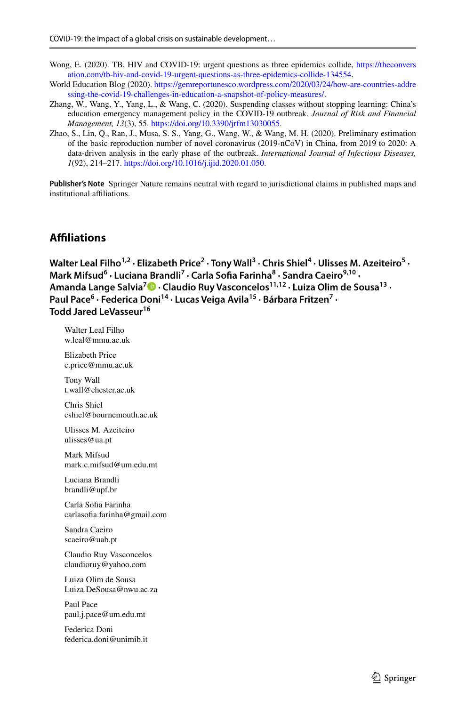- <span id="page-20-3"></span>Wong, E. (2020). TB, HIV and COVID-19: urgent questions as three epidemics collide, [https://theconvers](https://theconversation.com/tb-hiv-and-covid-19-urgent-questions-as-three-epidemics-collide-134554) [ation.com/tb-hiv-and-covid-19-urgent-questions-as-three-epidemics-collide-134554.](https://theconversation.com/tb-hiv-and-covid-19-urgent-questions-as-three-epidemics-collide-134554)
- <span id="page-20-2"></span>World Education Blog (2020). [https://gemreportunesco.wordpress.com/2020/03/24/how-are-countries-addre](https://gemreportunesco.wordpress.com/2020/03/24/how-are-countries-addressing-the-covid-19-challenges-in-education-a-snapshot-of-policy-measures/) [ssing-the-covid-19-challenges-in-education-a-snapshot-of-policy-measures/.](https://gemreportunesco.wordpress.com/2020/03/24/how-are-countries-addressing-the-covid-19-challenges-in-education-a-snapshot-of-policy-measures/)
- <span id="page-20-1"></span>Zhang, W., Wang, Y., Yang, L., & Wang, C. (2020). Suspending classes without stopping learning: China's education emergency management policy in the COVID-19 outbreak. *Journal of Risk and Financial Management, 13*(3), 55. [https://doi.org/10.3390/jrfm13030055.](https://doi.org/10.3390/jrfm13030055)
- <span id="page-20-0"></span>Zhao, S., Lin, Q., Ran, J., Musa, S. S., Yang, G., Wang, W., & Wang, M. H. (2020). Preliminary estimation of the basic reproduction number of novel coronavirus (2019-nCoV) in China, from 2019 to 2020: A data-driven analysis in the early phase of the outbreak. *International Journal of Infectious Diseases, 1*(92), 214–217.<https://doi.org/10.1016/j.ijid.2020.01.050>.

**Publisher's Note** Springer Nature remains neutral with regard to jurisdictional claims in published maps and institutional afliations.

# **Afliations**

```
Walter Leal Filho<sup>1,2</sup> · Elizabeth Price<sup>2</sup> · Tony Wall<sup>3</sup> · Chris Shiel<sup>4</sup> · Ulisses M. Azeiteiro<sup>5</sup> ·
Mark Mifsud6
 · Luciana Brandli7
 · Carla Sofa Farinha8
 · Sandra Caeiro9,10 · 
 Lange Salvia<sup>7</sup><sup>1</sup> · Claudio Ruy Vasconcelos<sup>11,12</sup> · Luiza Olim de Sousa<sup>13</sup> ·
Paul Pace<sup>6</sup> · Federica Doni<sup>14</sup> · Lucas Veiga Avila<sup>15</sup> · Bárbara Fritzen<sup>7</sup> ·
Todd Jared LeVasseur16
```
Walter Leal Filho w.leal@mmu.ac.uk

Elizabeth Price e.price@mmu.ac.uk

Tony Wall t.wall@chester.ac.uk

Chris Shiel cshiel@bournemouth.ac.uk

Ulisses M. Azeiteiro ulisses@ua.pt

Mark Mifsud mark.c.mifsud@um.edu.mt

Luciana Brandli brandli@upf.br

Carla Sofa Farinha carlasofa.farinha@gmail.com

Sandra Caeiro scaeiro@uab.pt

Claudio Ruy Vasconcelos claudioruy@yahoo.com

Luiza Olim de Sousa Luiza.DeSousa@nwu.ac.za

Paul Pace paul.j.pace@um.edu.mt

Federica Doni federica.doni@unimib.it